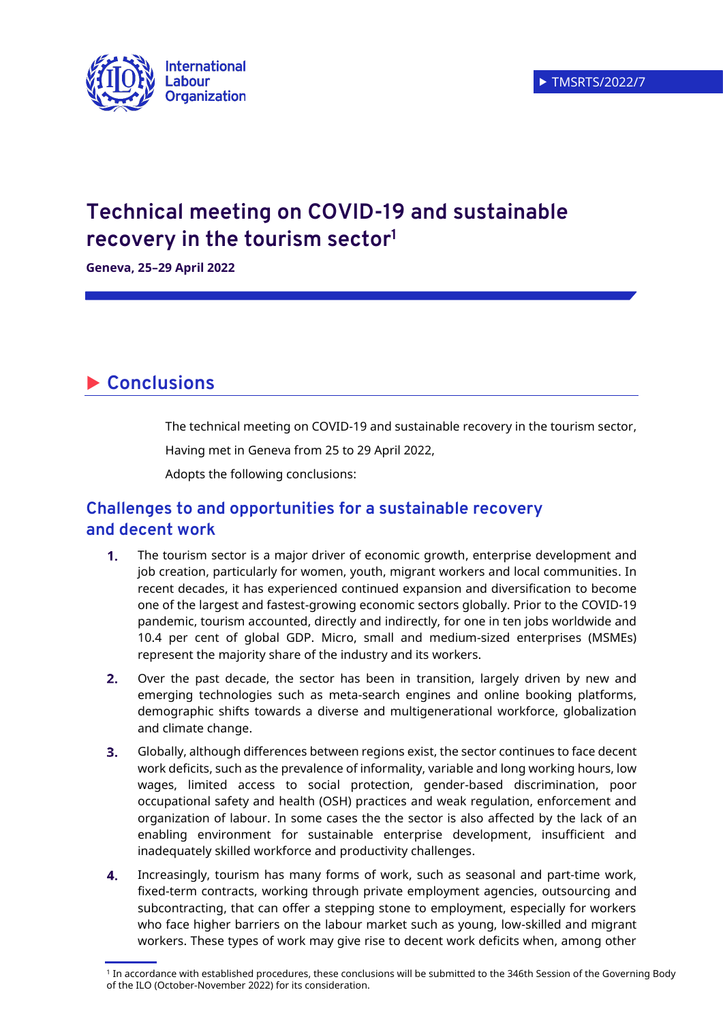

# **Technical meeting on COVID-19 and sustainable recovery in the tourism sector<sup>1</sup>**

**Geneva, 25–29 April 2022** 

# **Conclusions**

The technical meeting on COVID-19 and sustainable recovery in the tourism sector,

Having met in Geneva from 25 to 29 April 2022,

Adopts the following conclusions:

## **Challenges to and opportunities for a sustainable recovery and decent work**

- $\mathbf 1$ The tourism sector is a major driver of economic growth, enterprise development and job creation, particularly for women, youth, migrant workers and local communities. In recent decades, it has experienced continued expansion and diversification to become one of the largest and fastest-growing economic sectors globally. Prior to the COVID-19 pandemic, tourism accounted, directly and indirectly, for one in ten jobs worldwide and 10.4 per cent of global GDP. Micro, small and medium-sized enterprises (MSMEs) represent the majority share of the industry and its workers.
- $2.$ Over the past decade, the sector has been in transition, largely driven by new and emerging technologies such as meta-search engines and online booking platforms, demographic shifts towards a diverse and multigenerational workforce, globalization and climate change.
- $3<sub>1</sub>$ Globally, although differences between regions exist, the sector continues to face decent work deficits, such as the prevalence of informality, variable and long working hours, low wages, limited access to social protection, gender-based discrimination, poor occupational safety and health (OSH) practices and weak regulation, enforcement and organization of labour. In some cases the the sector is also affected by the lack of an enabling environment for sustainable enterprise development, insufficient and inadequately skilled workforce and productivity challenges.
- Increasingly, tourism has many forms of work, such as seasonal and part-time work,  $\mathbf{4}$ fixed-term contracts, working through private employment agencies, outsourcing and subcontracting, that can offer a stepping stone to employment, especially for workers who face higher barriers on the labour market such as young, low-skilled and migrant workers. These types of work may give rise to decent work deficits when, among other

 $^{\rm 1}$  In accordance with established procedures, these conclusions will be submitted to the 346th Session of the Governing Body of the ILO (October-November 2022) for its consideration.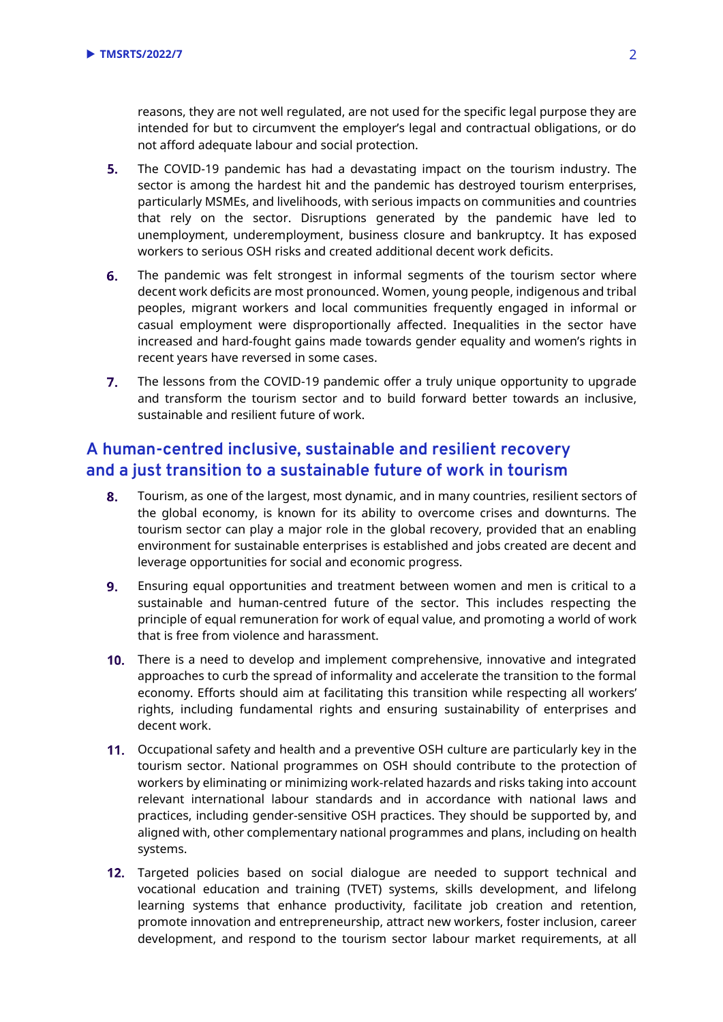reasons, they are not well regulated, are not used for the specific legal purpose they are intended for but to circumvent the employer's legal and contractual obligations, or do not afford adequate labour and social protection.

- $5.$ The COVID-19 pandemic has had a devastating impact on the tourism industry. The sector is among the hardest hit and the pandemic has destroyed tourism enterprises, particularly MSMEs, and livelihoods, with serious impacts on communities and countries that rely on the sector. Disruptions generated by the pandemic have led to unemployment, underemployment, business closure and bankruptcy. It has exposed workers to serious OSH risks and created additional decent work deficits.
- 6. The pandemic was felt strongest in informal segments of the tourism sector where decent work deficits are most pronounced. Women, young people, indigenous and tribal peoples, migrant workers and local communities frequently engaged in informal or casual employment were disproportionally affected. Inequalities in the sector have increased and hard-fought gains made towards gender equality and women's rights in recent years have reversed in some cases.
- $7<sup>1</sup>$ The lessons from the COVID-19 pandemic offer a truly unique opportunity to upgrade and transform the tourism sector and to build forward better towards an inclusive, sustainable and resilient future of work.

## **A human-centred inclusive, sustainable and resilient recovery and a just transition to a sustainable future of work in tourism**

- 8. Tourism, as one of the largest, most dynamic, and in many countries, resilient sectors of the global economy, is known for its ability to overcome crises and downturns. The tourism sector can play a major role in the global recovery, provided that an enabling environment for sustainable enterprises is established and jobs created are decent and leverage opportunities for social and economic progress.
- 9. Ensuring equal opportunities and treatment between women and men is critical to a sustainable and human-centred future of the sector. This includes respecting the principle of equal remuneration for work of equal value, and promoting a world of work that is free from violence and harassment.
- **10.** There is a need to develop and implement comprehensive, innovative and integrated approaches to curb the spread of informality and accelerate the transition to the formal economy. Efforts should aim at facilitating this transition while respecting all workers' rights, including fundamental rights and ensuring sustainability of enterprises and decent work.
- 11. Occupational safety and health and a preventive OSH culture are particularly key in the tourism sector. National programmes on OSH should contribute to the protection of workers by eliminating or minimizing work-related hazards and risks taking into account relevant international labour standards and in accordance with national laws and practices, including gender-sensitive OSH practices. They should be supported by, and aligned with, other complementary national programmes and plans, including on health systems.
- 12. Targeted policies based on social dialogue are needed to support technical and vocational education and training (TVET) systems, skills development, and lifelong learning systems that enhance productivity, facilitate job creation and retention, promote innovation and entrepreneurship, attract new workers, foster inclusion, career development, and respond to the tourism sector labour market requirements, at all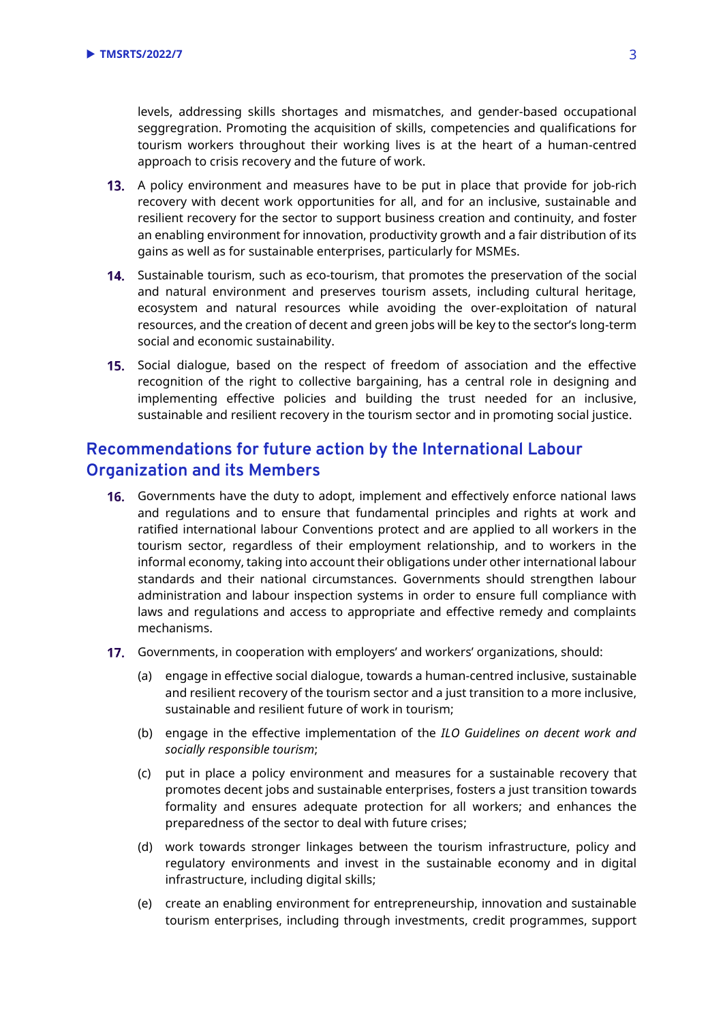levels, addressing skills shortages and mismatches, and gender-based occupational seggregration. Promoting the acquisition of skills, competencies and qualifications for tourism workers throughout their working lives is at the heart of a human-centred approach to crisis recovery and the future of work.

- 13. A policy environment and measures have to be put in place that provide for job-rich recovery with decent work opportunities for all, and for an inclusive, sustainable and resilient recovery for the sector to support business creation and continuity, and foster an enabling environment for innovation, productivity growth and a fair distribution of its gains as well as for sustainable enterprises, particularly for MSMEs.
- 14. Sustainable tourism, such as eco-tourism, that promotes the preservation of the social and natural environment and preserves tourism assets, including cultural heritage, ecosystem and natural resources while avoiding the over-exploitation of natural resources, and the creation of decent and green jobs will be key to the sector's long-term social and economic sustainability.
- 15. Social dialogue, based on the respect of freedom of association and the effective recognition of the right to collective bargaining, has a central role in designing and implementing effective policies and building the trust needed for an inclusive, sustainable and resilient recovery in the tourism sector and in promoting social justice.

## **Recommendations for future action by the International Labour Organization and its Members**

- **16.** Governments have the duty to adopt, implement and effectively enforce national laws and regulations and to ensure that fundamental principles and rights at work and ratified international labour Conventions protect and are applied to all workers in the tourism sector, regardless of their employment relationship, and to workers in the informal economy, taking into account their obligations under other international labour standards and their national circumstances. Governments should strengthen labour administration and labour inspection systems in order to ensure full compliance with laws and regulations and access to appropriate and effective remedy and complaints mechanisms.
- Governments, in cooperation with employers' and workers' organizations, should:
	- (a) engage in effective social dialogue, towards a human-centred inclusive, sustainable and resilient recovery of the tourism sector and a just transition to a more inclusive, sustainable and resilient future of work in tourism;
	- (b) engage in the effective implementation of the *ILO Guidelines on decent work and socially responsible tourism*;
	- (c) put in place a policy environment and measures for a sustainable recovery that promotes decent jobs and sustainable enterprises, fosters a just transition towards formality and ensures adequate protection for all workers; and enhances the preparedness of the sector to deal with future crises;
	- (d) work towards stronger linkages between the tourism infrastructure, policy and regulatory environments and invest in the sustainable economy and in digital infrastructure, including digital skills;
	- (e) create an enabling environment for entrepreneurship, innovation and sustainable tourism enterprises, including through investments, credit programmes, support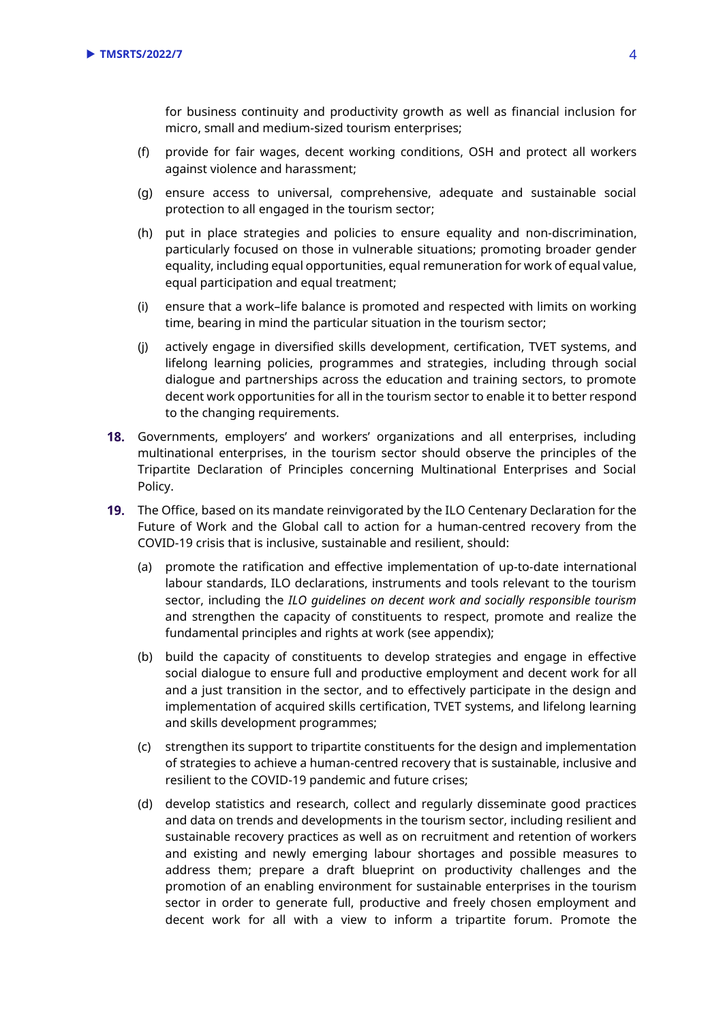for business continuity and productivity growth as well as financial inclusion for micro, small and medium-sized tourism enterprises;

- (f) provide for fair wages, decent working conditions, OSH and protect all workers against violence and harassment;
- (g) ensure access to universal, comprehensive, adequate and sustainable social protection to all engaged in the tourism sector;
- (h) put in place strategies and policies to ensure equality and non-discrimination, particularly focused on those in vulnerable situations; promoting broader gender equality, including equal opportunities, equal remuneration for work of equal value, equal participation and equal treatment;
- (i) ensure that a work–life balance is promoted and respected with limits on working time, bearing in mind the particular situation in the tourism sector;
- (j) actively engage in diversified skills development, certification, TVET systems, and lifelong learning policies, programmes and strategies, including through social dialogue and partnerships across the education and training sectors, to promote decent work opportunities for all in the tourism sector to enable it to better respond to the changing requirements.
- Governments, employers' and workers' organizations and all enterprises, including multinational enterprises, in the tourism sector should observe the principles of the Tripartite Declaration of Principles concerning Multinational Enterprises and Social Policy.
- **19.** The Office, based on its mandate reinvigorated by [the ILO Centenary Declaration](https://www.ilo.org/wcmsp5/groups/public/@ed_norm/@relconf/documents/meetingdocument/wcms_711674.pdf) for the Future of Work and the Global call to action for a human-centred recovery from the COVID-19 crisis that is inclusive, sustainable and resilient, should:
	- (a) promote the ratification and effective implementation of up-to-date international labour standards, ILO declarations, instruments and tools relevant to the tourism sector, including the *ILO guidelines on decent work and socially responsible tourism* and strengthen the capacity of constituents to respect, promote and realize the fundamental principles and rights at work (see appendix);
	- (b) build the capacity of constituents to develop strategies and engage in effective social dialogue to ensure full and productive employment and decent work for all and a just transition in the sector, and to effectively participate in the design and implementation of acquired skills certification, TVET systems, and lifelong learning and skills development programmes;
	- (c) strengthen its support to tripartite constituents for the design and implementation of strategies to achieve a human-centred recovery that is sustainable, inclusive and resilient to the COVID-19 pandemic and future crises;
	- (d) develop statistics and research, collect and regularly disseminate good practices and data on trends and developments in the tourism sector, including resilient and sustainable recovery practices as well as on recruitment and retention of workers and existing and newly emerging labour shortages and possible measures to address them; prepare a draft blueprint on productivity challenges and the promotion of an enabling environment for sustainable enterprises in the tourism sector in order to generate full, productive and freely chosen employment and decent work for all with a view to inform a tripartite forum. Promote the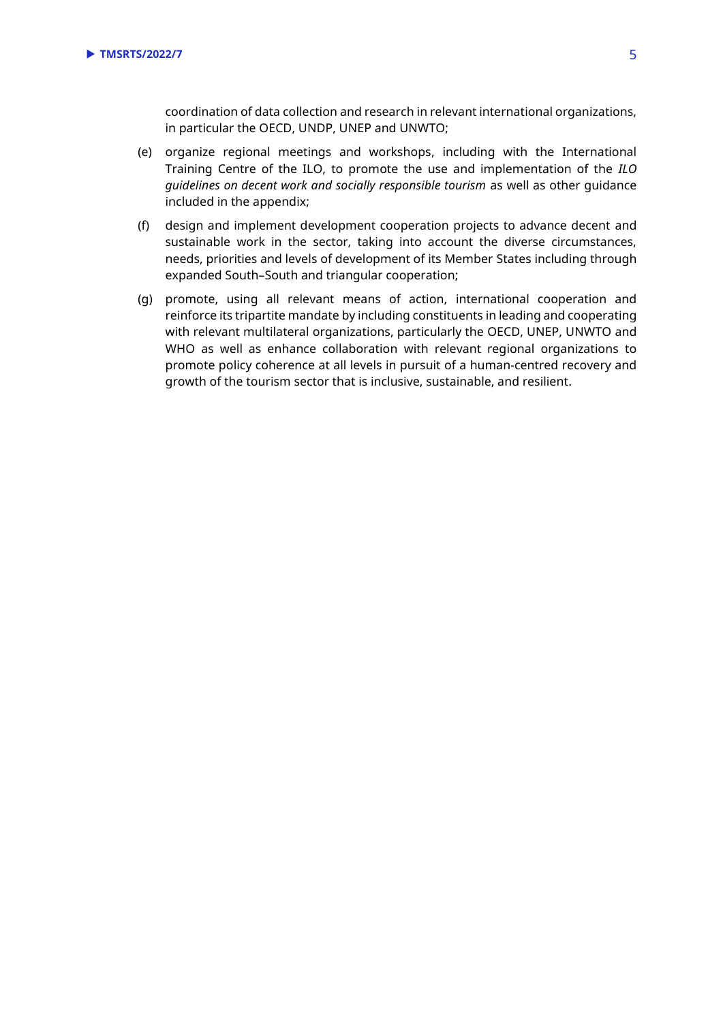coordination of data collection and research in relevant international organizations, in particular the OECD, UNDP, UNEP and UNWTO;

- (e) organize regional meetings and workshops, including with the International Training Centre of the ILO, to promote the use and implementation of the *ILO guidelines on decent work and socially responsible tourism* as well as other guidance included in the appendix;
- (f) design and implement development cooperation projects to advance decent and sustainable work in the sector, taking into account the diverse circumstances, needs, priorities and levels of development of its Member States including through expanded South–South and triangular cooperation;
- (g) promote, using all relevant means of action, international cooperation and reinforce its tripartite mandate by including constituents in leading and cooperating with relevant multilateral organizations, particularly the OECD, UNEP, UNWTO and WHO as well as enhance collaboration with relevant regional organizations to promote policy coherence at all levels in pursuit of a human-centred recovery and growth of the tourism sector that is inclusive, sustainable, and resilient.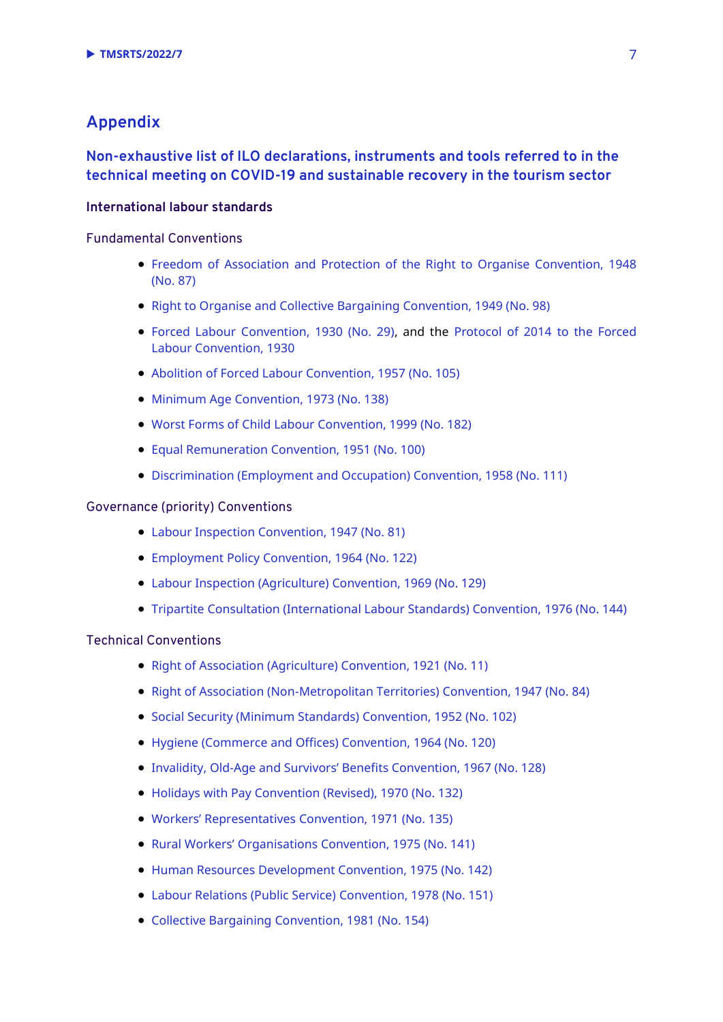## **Appendix**

### **Non-exhaustive list of ILO declarations, instruments and tools referred to in the technical meeting on COVID-19 and sustainable recovery in the tourism sector**

#### **International labour standards**

#### Fundamental Conventions

- [Freedom of Association and Protection of the Right to Organise Convention, 1948](https://www.ilo.org/dyn/normlex/en/f?p=NORMLEXPUB:12100:0::NO::P12100_ILO_CODE:C087)  [\(No.](https://www.ilo.org/dyn/normlex/en/f?p=NORMLEXPUB:12100:0::NO::P12100_ILO_CODE:C087) 87)
- [Right to Organise and Collective Bargaining Convention, 1949 \(No. 98\)](https://www.ilo.org/dyn/normlex/en/f?p=NORMLEXPUB:12100:0::NO::P12100_ILO_CODE:C098)
- [Forced Labour Convention, 1930 \(No. 29\),](https://www.ilo.org/dyn/normlex/en/f?p=1000:12100:0::NO::P12100_ILO_CODE:C029) and the [Protocol of 2014](http://www.ilo.ch/dyn/normlex/en/f?p=NORMLEXPUB:12100:0::NO::P12100_ILO_CODE:P029) to the Forced [Labour Convention, 1930](http://www.ilo.ch/dyn/normlex/en/f?p=NORMLEXPUB:12100:0::NO::P12100_ILO_CODE:P029)
- [Abolition of Forced Labour Convention, 1957 \(No. 105\)](https://www.ilo.org/dyn/normlex/en/f?p=1000:12100:0::NO::P12100_ILO_CODE:C105)
- [Minimum Age Convention, 1973 \(No. 138\)](https://www.ilo.org/dyn/normlex/en/f?p=NORMLEXPUB:12100:0::NO:12100:P12100_INSTRUMENT_ID:312283:NO)
- [Worst Forms of Child Labour Convention, 1999 \(No. 182\)](https://www.ilo.org/dyn/normlex/en/f?p=NORMLEXPUB:12100:0::NO::P12100_ILO_CODE:C182)
- [Equal Remuneration Convention, 1951 \(No. 100\)](https://www.ilo.org/dyn/normlex/en/f?p=NORMLEXPUB:12100:0::NO::P12100_Ilo_Code:C100)
- [Discrimination \(Employment and Occupation\) Convention, 1958 \(No. 111\)](https://www.ilo.org/dyn/normlex/en/f?p=NORMLEXPUB:12100:0::NO::P12100_ILO_CODE:C111)

#### Governance (priority) Conventions

- [Labour Inspection Convention, 1947 \(No. 81\)](https://www.ilo.org/dyn/normlex/en/f?p=NORMLEXPUB:12100:0::NO::P12100_ILO_CODE:C081)
- [Employment Policy Convention, 1964 \(No. 122\)](https://www.ilo.org/dyn/normlex/en/f?p=NORMLEXPUB:12100:0::NO::P12100_INSTRUMENT_ID:312267)
- [Labour Inspection \(Agriculture\) Convention, 1969 \(No. 129\)](https://www.ilo.org/dyn/normlex/en/f?p=NORMLEXPUB:12100:0::NO::P12100_ILO_CODE:C129)
- [Tripartite Consultation \(International Labour Standards\) Convention,](https://www.ilo.org/dyn/normlex/en/f?p=NORMLEXPUB:12100:0::NO::P12100_ILO_CODE:C144) 1976 (No. 144)

#### Technical Conventions

- [Right of Association \(Agriculture\) Convention, 1921 \(No. 11\)](https://www.ilo.org/dyn/normlex/en/f?p=NORMLEXPUB:12100:0::NO::P12100_ILO_CODE:C011)
- [Right of Association \(Non-Metropolitan Territories\) Convention, 1947 \(No. 84\)](https://www.ilo.org/dyn/normlex/en/f?p=NORMLEXPUB:12100:0::NO::P12100_ILO_CODE:C084)
- [Social Security \(Minimum Standards\) Convention, 1952 \(No. 102\)](https://www.ilo.org/dyn/normlex/en/f?p=NORMLEXPUB:12100:0::NO::P12100_ILO_CODE:C102)
- [Hygiene \(Commerce and Offices\) Convention, 1964 \(No. 120\)](https://www.ilo.org/dyn/normlex/en/f?p=1000:12100:::NO:12100:P12100_INSTRUMENT_ID:312265)
- Invalidity, Old-[Age and Survivors' Benefits Convention, 1967 \(No. 128\)](https://www.ilo.org/dyn/normlex/en/f?p=NORMLEXPUB:55:0:::55:P55_TYPE,P55_LANG,P55_DOCUMENT,P55_NODE:CON,en,C128,/Document)
- [Holidays with Pay Convention \(Revised\), 1970 \(No. 132\)](https://www.ilo.org/dyn/normlex/en/f?p=NORMLEXPUB:12100:0::NO::P12100_ILO_CODE:C132)
- [Workers' Representatives Convention, 1971 \(No. 135\)](https://www.ilo.org/dyn/normlex/en/f?p=1000:12100:::NO:12100:P12100_INSTRUMENT_ID:312280)
- [Rural Workers' Organisations Convention, 1975 \(No. 141\)](https://www.ilo.org/dyn/normlex/en/f?p=NORMLEXPUB:12100:0::NO::P12100_ILO_CODE:C141)
- [Human Resources Development Convention, 1975 \(No. 142\)](https://www.ilo.org/dyn/normlex/en/f?p=1000:12100:::NO:12100:P12100_INSTRUMENT_ID:312287)
- [Labour Relations \(Public Service\) Convention, 1978 \(No. 151\)](https://www.ilo.org/dyn/normlex/en/f?p=NORMLEXPUB:12100:0::NO::P12100_INSTRUMENT_ID:312296)
- [Collective Bargaining Convention, 1981 \(No. 154\)](https://www.ilo.org/dyn/normlex/en/f?p=NORMLEXPUB:12100:0::NO::P12100_INSTRUMENT_ID:312299)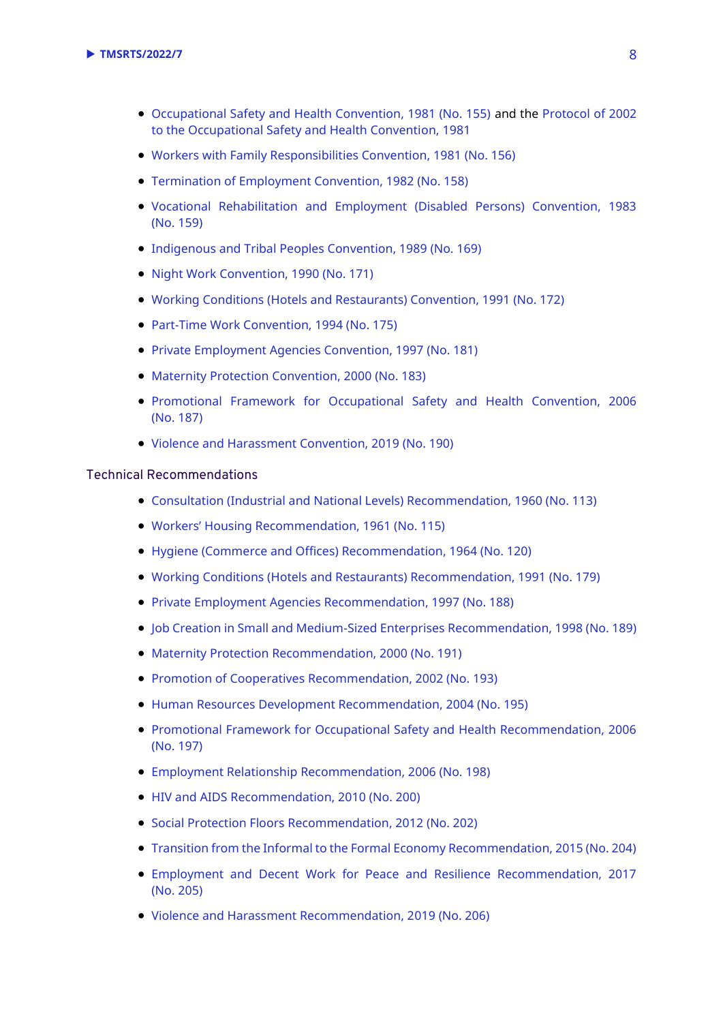- [Occupational Safety and Health Convention, 1981 \(No. 155\)](https://www.ilo.org/dyn/normlex/en/f?p=NORMLEXPUB:12100:0::NO::P12100_ILO_CODE:C155) and the [Protocol of 2002](https://www.ilo.org/dyn/normlex/en/f?p=NORMLEXPUB:12100:0::NO::P12100_ILO_CODE:P155)  [to the Occupational Safety and Health Convention, 1981](https://www.ilo.org/dyn/normlex/en/f?p=NORMLEXPUB:12100:0::NO::P12100_ILO_CODE:P155)
- [Workers with Family Responsibilities Convention, 1981 \(No. 156\)](https://www.ilo.org/dyn/normlex/en/f?p=NORMLEXPUB:12100:0::NO::P12100_ILO_CODE:C156)
- [Termination of Employment Convention, 1982 \(No. 158\)](https://www.ilo.org/dyn/normlex/en/f?p=NORMLEXPUB:12100:0::NO::P12100_ILO_CODE:C158)
- [Vocational Rehabilitation and Employment \(Disabled Persons\) Convention, 1983](https://www.ilo.org/dyn/normlex/en/f?p=NORMLEXPUB:12100:0::NO::P12100_INSTRUMENT_ID:312304)  (No. [159\)](https://www.ilo.org/dyn/normlex/en/f?p=NORMLEXPUB:12100:0::NO::P12100_INSTRUMENT_ID:312304)
- [Indigenous and Tribal Peoples Convention, 1989 \(No. 169\)](https://www.ilo.org/dyn/normlex/en/f?p=NORMLEXPUB:55:0::NO::P55_TYPE,P55_LANG,P55_DOCUMENT,P55_NODE:REV,en,C169,/Document)
- [Night Work Convention, 1990 \(No. 171\)](https://www.ilo.org/dyn/normlex/en/f?p=1000:12100:::NO:12100:P12100_INSTRUMENT_ID:312316)
- [Working Conditions \(Hotels and Restaurants\) Convention, 1991 \(No. 172\)](https://www.ilo.org/dyn/normlex/en/f?p=NORMLEXPUB:12100:0::NO::P12100_INSTRUMENT_ID:312317)
- [Part-Time Work Convention, 1994 \(No. 175\)](https://www.ilo.org/dyn/normlex/en/f?p=NORMLEXPUB:12100:0::NO::P12100_ILO_CODE:C175)
- [Private Employment Agencies Convention, 1997 \(No. 181\)](https://www.ilo.org/dyn/normlex/en/f?p=1000:12100:0::NO::P12100_INSTRUMENT_ID:312326)
- [Maternity Protection Convention, 2000 \(No. 183\)](https://www.ilo.org/dyn/normlex/en/f?p=NORMLEXPUB:12100:0::NO::P12100_ILO_CODE:C183)
- [Promotional Framework for Occupational Safety and Health Convention, 2006](https://www.ilo.org/dyn/normlex/en/f?p=NORMLEXPUB:12100:0::NO::P12100_ILO_CODE:C187)  (No. [187\)](https://www.ilo.org/dyn/normlex/en/f?p=NORMLEXPUB:12100:0::NO::P12100_ILO_CODE:C187)
- [Violence and Harassment Convention, 2019 \(No. 190\)](https://www.ilo.org/dyn/normlex/en/f?p=NORMLEXPUB:12100:0::NO::P12100_ILO_CODE:C190)

#### Technical Recommendations

- [Consultation \(Industrial and National Levels\) Recommendation, 1960 \(No. 113\)](https://www.ilo.org/dyn/normlex/en/f?p=1000:12100:::NO:12100:P12100_INSTRUMENT_ID:312451)
- [Workers' Housing Recommendation, 1961 \(No. 115\)](https://www.ilo.org/dyn/normlex/en/f?p=NORMLEXPUB:12100:0::NO::P12100_ILO_CODE:R115)
- [Hygiene \(Commerce and Offices\) Recommendation, 1964 \(No. 120\)](https://www.ilo.org/dyn/normlex/en/f?p=1000:12100:::NO:12100:P12100_INSTRUMENT_ID:312458)
- [Working Conditions \(Hotels and Restaurants\) Recommendation, 1991 \(No. 179\)](https://www.ilo.org/dyn/normlex/en/f?p=1000:12100:::NO:12100:P12100_INSTRUMENT_ID:312517)
- [Private Employment Agencies Recommendation, 1997 \(No. 188\)](https://www.ilo.org/dyn/normlex/en/f?p=NORMLEXPUB:12100:::NO:12100:P12100_ILO_CODE:R188:NO)
- [Job Creation in Small and Medium-Sized Enterprises Recommendation, 1998 \(No. 189\)](https://www.ilo.org/dyn/normlex/en/f?p=1000:12100:::NO:12100:P12100_INSTRUMENT_ID:312527)
- [Maternity Protection Recommendation, 2000 \(No. 191\)](https://www.ilo.org/dyn/normlex/en/f?p=1000:12100:::NO:12100:P12100_INSTRUMENT_ID:312529)
- [Promotion of Cooperatives Recommendation, 2002 \(No. 193\)](https://www.ilo.org/dyn/normlex/en/f?p=normlexpub:12100:0::no::P12100_ILO_code:R193)
- [Human Resources Development Recommendation, 2004 \(No. 195\)](https://www.ilo.org/dyn/normlex/en/f?p=NORMLEXPUB:12100:0::NO::P12100_INSTRUMENT_ID:312533)
- [Promotional Framework for Occupational Safety and Health Recommendation, 2006](https://www.ilo.org/dyn/normlex/en/f?p=1000:12100:::NO:12100:P12100_INSTRUMENT_ID:312534)  [\(No. 197\)](https://www.ilo.org/dyn/normlex/en/f?p=1000:12100:::NO:12100:P12100_INSTRUMENT_ID:312534)
- [Employment Relationship Recommendation, 2006 \(No. 198\)](https://www.ilo.org/dyn/normlex/en/f?p=NORMLEXPUB:12100:0::NO::P12100_INSTRUMENT_ID:312535)
- [HIV and AIDS Recommendation, 2010 \(No. 200\)](https://www.ilo.org/dyn/normlex/en/f?p=1000:12100:::NO:12100:P12100_INSTRUMENT_ID:2551501)
- [Social Protection Floors Recommendation, 2012 \(No. 202\)](https://www.ilo.org/dyn/normlex/en/f?p=NORMLEXPUB:12100:0::NO::P12100_INSTRUMENT_ID:3065524)
- [Transition from the Informal to the Formal Economy Recommendation, 2015 \(No. 204\)](https://www.ilo.org/dyn/normlex/en/f?p=NORMLEXPUB:12100:0::NO::P12100_ILO_CODE:R204)
- [Employment and Decent Work for Peace and Resilience Recommendation, 2017](https://www.ilo.org/dyn/normlex/en/f?p=NORMLEXPUB:12100:0::NO::P12100_INSTRUMENT_ID:3330503)  (No. [205\)](https://www.ilo.org/dyn/normlex/en/f?p=NORMLEXPUB:12100:0::NO::P12100_INSTRUMENT_ID:3330503)
- [Violence and Harassment Recommendation, 2019 \(No. 206\)](https://www.ilo.org/dyn/normlex/en/f?p=NORMLEXPUB:12100:0::NO::P12100_ILO_CODE:R206)